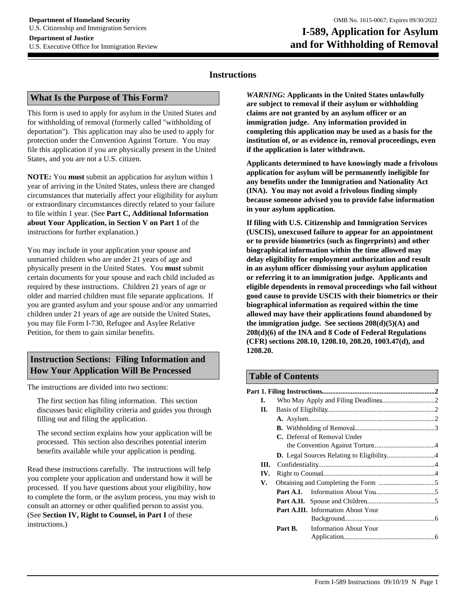# **and for Withholding of Removal**

## **Instructions**

#### **What Is the Purpose of This Form?**

This form is used to apply for asylum in the United States and for withholding of removal (formerly called "withholding of deportation"). This application may also be used to apply for protection under the Convention Against Torture. You may file this application if you are physically present in the United States, and you are not a U.S. citizen.

**NOTE:** You **must** submit an application for asylum within 1 year of arriving in the United States, unless there are changed circumstances that materially affect your eligibility for asylum or extraordinary circumstances directly related to your failure to file within 1 year. (See **Part C, Additional Information about Your Application, in Section V on Part 1** of the instructions for further explanation.)

You may include in your application your spouse and unmarried children who are under 21 years of age and physically present in the United States. You **must** submit certain documents for your spouse and each child included as required by these instructions. Children 21 years of age or older and married children must file separate applications. If you are granted asylum and your spouse and/or any unmarried children under 21 years of age are outside the United States, you may file Form I-730, Refugee and Asylee Relative Petition, for them to gain similar benefits.

# **Instruction Sections: Filing Information and How Your Application Will Be Processed**

The instructions are divided into two sections:

The first section has filing information. This section discusses basic eligibility criteria and guides you through filling out and filing the application.

The second section explains how your application will be processed. This section also describes potential interim benefits available while your application is pending.

Read these instructions carefully. The instructions will help you complete your application and understand how it will be processed. If you have questions about your eligibility, how to complete the form, or the asylum process, you may wish to consult an attorney or other qualified person to assist you. (See **Section IV, Right to Counsel, in Part I** of these instructions.)

*WARNING:* **Applicants in the United States unlawfully are subject to removal if their asylum or withholding claims are not granted by an asylum officer or an immigration judge. Any information provided in completing this application may be used as a basis for the institution of, or as evidence in, removal proceedings, even if the application is later withdrawn.** 

**Applicants determined to have knowingly made a frivolous application for asylum will be permanently ineligible for any benefits under the Immigration and Nationality Act (INA). You may not avoid a frivolous finding simply because someone advised you to provide false information in your asylum application.** 

**If filing with U.S. Citizenship and Immigration Services (USCIS), unexcused failure to appear for an appointment or to provide biometrics (such as fingerprints) and other biographical information within the time allowed may delay eligibility for employment authorization and result in an asylum officer dismissing your asylum application or referring it to an immigration judge. Applicants and eligible dependents in removal proceedings who fail without good cause to provide USCIS with their biometrics or their biographical information as required within the time allowed may have their applications found abandoned by the immigration judge. See sections 208(d)(5)(A) and 208(d)(6) of the INA and 8 Code of Federal Regulations (CFR) sections 208.10, 1208.10, 208.20, 1003.47(d), and 1208.20.**

## **Table of Contents**

| I. |      |         |                                           |  |
|----|------|---------|-------------------------------------------|--|
| Н. |      |         |                                           |  |
|    |      |         |                                           |  |
|    |      |         |                                           |  |
|    |      |         | C. Deferral of Removal Under              |  |
|    |      |         |                                           |  |
|    |      |         |                                           |  |
|    | III. |         |                                           |  |
|    | IV.  |         |                                           |  |
| V. |      |         |                                           |  |
|    |      |         |                                           |  |
|    |      |         |                                           |  |
|    |      |         | <b>Part A.III.</b> Information About Your |  |
|    |      |         |                                           |  |
|    |      | Part B. | <b>Information About Your</b>             |  |
|    |      |         |                                           |  |
|    |      |         |                                           |  |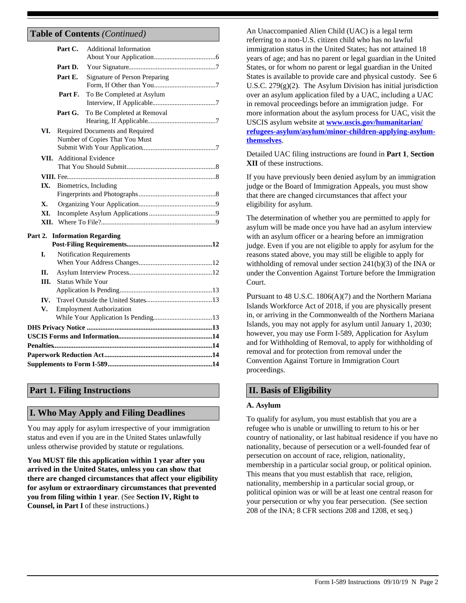# **Table of Contents** *(Continued)*

|         |            | Part C.                                                           | <b>Additional Information</b>   |  |
|---------|------------|-------------------------------------------------------------------|---------------------------------|--|
|         |            | Part D.                                                           |                                 |  |
|         |            | Part E.                                                           | Signature of Person Preparing   |  |
|         |            | Part F.                                                           | To Be Completed at Asylum       |  |
|         |            | Part G.                                                           | To Be Completed at Removal      |  |
|         | VI.        | Required Documents and Required<br>Number of Copies That You Must |                                 |  |
|         |            | <b>VII.</b> Additional Evidence                                   |                                 |  |
|         |            |                                                                   |                                 |  |
|         | IX.        | Biometrics, Including                                             |                                 |  |
|         | X.         |                                                                   |                                 |  |
|         | XI.        |                                                                   |                                 |  |
|         | XII.       |                                                                   |                                 |  |
| Part 2. |            |                                                                   | <b>Information Regarding</b>    |  |
|         | I.         | <b>Notification Requirements</b>                                  |                                 |  |
|         |            |                                                                   |                                 |  |
|         | <b>II.</b> |                                                                   |                                 |  |
|         | III.       | <b>Status While Your</b>                                          |                                 |  |
|         | IV.        |                                                                   |                                 |  |
|         | V.         |                                                                   | <b>Employment Authorization</b> |  |
|         |            |                                                                   |                                 |  |
|         |            |                                                                   |                                 |  |
|         |            |                                                                   |                                 |  |
|         |            |                                                                   |                                 |  |
|         |            |                                                                   |                                 |  |

# **Part 1. Filing Instructions**

## **I. Who May Apply and Filing Deadlines**

You may apply for asylum irrespective of your immigration status and even if you are in the United States unlawfully unless otherwise provided by statute or regulations.

**You MUST file this application within 1 year after you arrived in the United States, unless you can show that there are changed circumstances that affect your eligibility for asylum or extraordinary circumstances that prevented you from filing within 1 year**. (See **Section IV, Right to Counsel, in Part I** of these instructions.)

An Unaccompanied Alien Child (UAC) is a legal term referring to a non-U.S. citizen child who has no lawful immigration status in the United States; has not attained 18 years of age; and has no parent or legal guardian in the United States, or for whom no parent or legal guardian in the United States is available to provide care and physical custody. See 6 U.S.C.  $279(g)(2)$ . The Asylum Division has initial jurisdiction over an asylum application filed by a UAC, including a UAC in removal proceedings before an immigration judge. For more information about the asylum process for UAC, visit the USCIS asylum website at **[www.uscis.gov/humanitarian/](www.uscis.gov/humanitarian/refugees-asylum/asylum/minor-children-applying-asylum-themselves) [refugees-asylum/asylum/minor-children-applying-asylum](www.uscis.gov/humanitarian/refugees-asylum/asylum/minor-children-applying-asylum-themselves)[themselves](www.uscis.gov/humanitarian/refugees-asylum/asylum/minor-children-applying-asylum-themselves)**.

Detailed UAC filing instructions are found in **Part 1**, **Section XII** of these instructions.

If you have previously been denied asylum by an immigration judge or the Board of Immigration Appeals, you must show that there are changed circumstances that affect your eligibility for asylum.

The determination of whether you are permitted to apply for asylum will be made once you have had an asylum interview with an asylum officer or a hearing before an immigration judge. Even if you are not eligible to apply for asylum for the reasons stated above, you may still be eligible to apply for withholding of removal under section 241(b)(3) of the INA or under the Convention Against Torture before the Immigration Court.

Pursuant to 48 U.S.C. 1806(A)(7) and the Northern Mariana Islands Workforce Act of 2018, if you are physically present in, or arriving in the Commonwealth of the Northern Mariana Islands, you may not apply for asylum until January 1, 2030; however, you may use Form I-589, Application for Asylum and for Withholding of Removal, to apply for withholding of removal and for protection from removal under the Convention Against Torture in Immigration Court proceedings.

## **II. Basis of Eligibility**

#### **A. Asylum**

To qualify for asylum, you must establish that you are a refugee who is unable or unwilling to return to his or her country of nationality, or last habitual residence if you have no nationality, because of persecution or a well-founded fear of persecution on account of race, religion, nationality, membership in a particular social group, or political opinion. This means that you must establish that race, religion, nationality, membership in a particular social group, or political opinion was or will be at least one central reason for your persecution or why you fear persecution. (See section 208 of the INA; 8 CFR sections 208 and 1208, et seq.)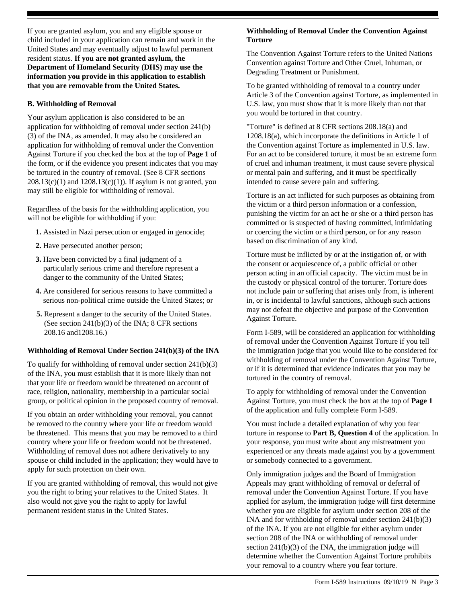If you are granted asylum, you and any eligible spouse or child included in your application can remain and work in the United States and may eventually adjust to lawful permanent resident status. **If you are not granted asylum, the Department of Homeland Security (DHS) may use the information you provide in this application to establish that you are removable from the United States.**

#### **B. Withholding of Removal**

Your asylum application is also considered to be an application for withholding of removal under section 241(b) (3) of the INA, as amended. It may also be considered an application for withholding of removal under the Convention Against Torture if you checked the box at the top of **Page 1** of the form, or if the evidence you present indicates that you may be tortured in the country of removal. (See 8 CFR sections  $208.13(c)(1)$  and  $1208.13(c)(1)$ ). If asylum is not granted, you may still be eligible for withholding of removal.

Regardless of the basis for the withholding application, you will not be eligible for withholding if you:

- **1.** Assisted in Nazi persecution or engaged in genocide;
- **2.** Have persecuted another person;
- **3.** Have been convicted by a final judgment of a particularly serious crime and therefore represent a danger to the community of the United States;
- **4.** Are considered for serious reasons to have committed a serious non-political crime outside the United States; or
- **5.** Represent a danger to the security of the United States. (See section 241(b)(3) of the INA; 8 CFR sections 208.16 and1208.16.)

#### **Withholding of Removal Under Section 241(b)(3) of the INA**

To qualify for withholding of removal under section 241(b)(3) of the INA, you must establish that it is more likely than not that your life or freedom would be threatened on account of race, religion, nationality, membership in a particular social group, or political opinion in the proposed country of removal.

If you obtain an order withholding your removal, you cannot be removed to the country where your life or freedom would be threatened. This means that you may be removed to a third country where your life or freedom would not be threatened. Withholding of removal does not adhere derivatively to any spouse or child included in the application; they would have to apply for such protection on their own.

If you are granted withholding of removal, this would not give you the right to bring your relatives to the United States. It also would not give you the right to apply for lawful permanent resident status in the United States.

#### **Withholding of Removal Under the Convention Against Torture**

The Convention Against Torture refers to the United Nations Convention against Torture and Other Cruel, Inhuman, or Degrading Treatment or Punishment.

To be granted withholding of removal to a country under Article 3 of the Convention against Torture, as implemented in U.S. law, you must show that it is more likely than not that you would be tortured in that country.

"Torture" is defined at 8 CFR sections 208.18(a) and 1208.18(a), which incorporate the definitions in Article 1 of the Convention against Torture as implemented in U.S. law. For an act to be considered torture, it must be an extreme form of cruel and inhuman treatment, it must cause severe physical or mental pain and suffering, and it must be specifically intended to cause severe pain and suffering.

Torture is an act inflicted for such purposes as obtaining from the victim or a third person information or a confession, punishing the victim for an act he or she or a third person has committed or is suspected of having committed, intimidating or coercing the victim or a third person, or for any reason based on discrimination of any kind.

Torture must be inflicted by or at the instigation of, or with the consent or acquiescence of, a public official or other person acting in an official capacity. The victim must be in the custody or physical control of the torturer. Torture does not include pain or suffering that arises only from, is inherent in, or is incidental to lawful sanctions, although such actions may not defeat the objective and purpose of the Convention Against Torture.

Form I-589, will be considered an application for withholding of removal under the Convention Against Torture if you tell the immigration judge that you would like to be considered for withholding of removal under the Convention Against Torture, or if it is determined that evidence indicates that you may be tortured in the country of removal.

To apply for withholding of removal under the Convention Against Torture, you must check the box at the top of **Page 1** of the application and fully complete Form I-589.

You must include a detailed explanation of why you fear torture in response to **Part B, Question 4** of the application. In your response, you must write about any mistreatment you experienced or any threats made against you by a government or somebody connected to a government.

Only immigration judges and the Board of Immigration Appeals may grant withholding of removal or deferral of removal under the Convention Against Torture. If you have applied for asylum, the immigration judge will first determine whether you are eligible for asylum under section 208 of the INA and for withholding of removal under section 241(b)(3) of the INA. If you are not eligible for either asylum under section 208 of the INA or withholding of removal under section 241(b)(3) of the INA, the immigration judge will determine whether the Convention Against Torture prohibits your removal to a country where you fear torture.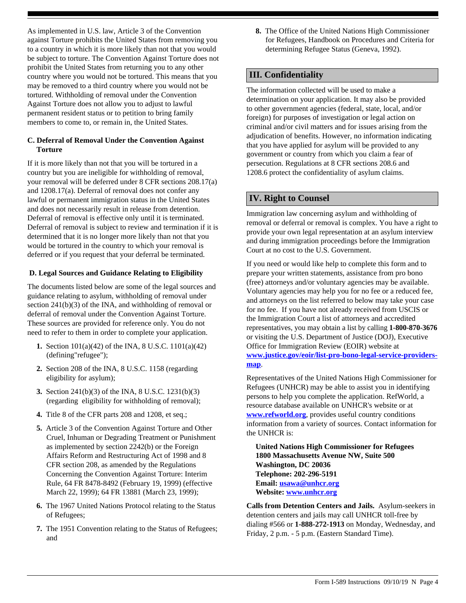As implemented in U.S. law, Article 3 of the Convention against Torture prohibits the United States from removing you to a country in which it is more likely than not that you would be subject to torture. The Convention Against Torture does not prohibit the United States from returning you to any other country where you would not be tortured. This means that you may be removed to a third country where you would not be tortured. Withholding of removal under the Convention Against Torture does not allow you to adjust to lawful permanent resident status or to petition to bring family members to come to, or remain in, the United States.

## **C. Deferral of Removal Under the Convention Against Torture**

If it is more likely than not that you will be tortured in a country but you are ineligible for withholding of removal, your removal will be deferred under 8 CFR sections 208.17(a) and 1208.17(a). Deferral of removal does not confer any lawful or permanent immigration status in the United States and does not necessarily result in release from detention. Deferral of removal is effective only until it is terminated. Deferral of removal is subject to review and termination if it is determined that it is no longer more likely than not that you would be tortured in the country to which your removal is deferred or if you request that your deferral be terminated.

## **D. Legal Sources and Guidance Relating to Eligibility**

The documents listed below are some of the legal sources and guidance relating to asylum, withholding of removal under section 241(b)(3) of the INA, and withholding of removal or deferral of removal under the Convention Against Torture. These sources are provided for reference only. You do not need to refer to them in order to complete your application.

- **1.** Section 101(a)(42) of the INA, 8 U.S.C. 1101(a)(42) (defining"refugee");
- **2.** Section 208 of the INA, 8 U.S.C. 1158 (regarding eligibility for asylum);
- **3.** Section 241(b)(3) of the INA, 8 U.S.C. 1231(b)(3) (regarding eligibility for withholding of removal);
- **4.** Title 8 of the CFR parts 208 and 1208, et seq.;
- **5.** Article 3 of the Convention Against Torture and Other Cruel, Inhuman or Degrading Treatment or Punishment as implemented by section 2242(b) or the Foreign Affairs Reform and Restructuring Act of 1998 and 8 CFR section 208, as amended by the Regulations Concerning the Convention Against Torture: Interim Rule, 64 FR 8478-8492 (February 19, 1999) (effective March 22, 1999); 64 FR 13881 (March 23, 1999);
- **6.** The 1967 United Nations Protocol relating to the Status of Refugees;
- **7.** The 1951 Convention relating to the Status of Refugees; and

**8.** The Office of the United Nations High Commissioner for Refugees, Handbook on Procedures and Criteria for determining Refugee Status (Geneva, 1992).

# **III. Confidentiality**

The information collected will be used to make a determination on your application. It may also be provided to other government agencies (federal, state, local, and/or foreign) for purposes of investigation or legal action on criminal and/or civil matters and for issues arising from the adjudication of benefits. However, no information indicating that you have applied for asylum will be provided to any government or country from which you claim a fear of persecution. Regulations at 8 CFR sections 208.6 and 1208.6 protect the confidentiality of asylum claims.

## **IV. Right to Counsel**

Immigration law concerning asylum and withholding of removal or deferral or removal is complex. You have a right to provide your own legal representation at an asylum interview and during immigration proceedings before the Immigration Court at no cost to the U.S. Government.

If you need or would like help to complete this form and to prepare your written statements, assistance from pro bono (free) attorneys and/or voluntary agencies may be available. Voluntary agencies may help you for no fee or a reduced fee, and attorneys on the list referred to below may take your case for no fee.If you have not already received from USCIS or the Immigration Court a list of attorneys and accredited representatives, you may obtain a list by calling **1-800-870-3676** or visiting the U.S. Department of Justice (DOJ), Executive Office for Immigration Review (EOIR) website at **[www.justice.gov/eoir/list-pro-bono-legal-service-providers](www.justice.gov/eoir/list-pro-bono-legal-service-providers-map)[map](www.justice.gov/eoir/list-pro-bono-legal-service-providers-map)**[.](www.justice.gov/eoir/list-pro-bono-legal-service-providers-map)

Representatives of the United Nations High Commissioner for Refugees (UNHCR) may be able to assist you in identifying persons to help you complete the application. RefWorld, a resource database available on UNHCR's website or at **<www.refworld.org>**, provides useful country conditions information from a variety of sources. Contact information for the UNHCR is:

**United Nations High Commissioner for Refugees 1800 Massachusetts Avenue NW, Suite 500 Washington, DC 20036 Telephone: 202-296-5191 Email: [usawa@unhcr.org](mailto:usawa@unhcr.org) Website:<www.unhcr.org>**

**Calls from Detention Centers and Jails.** Asylum-seekers in detention centers and jails may call UNHCR toll-free by dialing #566 or **1-888-272-1913** on Monday, Wednesday, and Friday, 2 p.m. - 5 p.m. (Eastern Standard Time).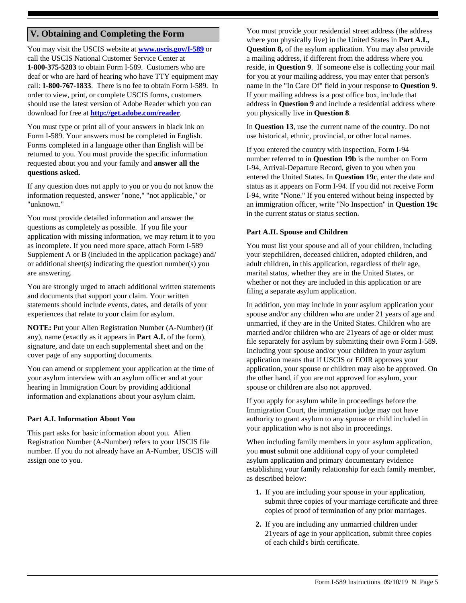# **V. Obtaining and Completing the Form**

You may visit the USCIS website at **<www.uscis.gov/I-589>** or call the USCIS National Customer Service Center at **1-800-375-5283** to obtain Form I-589. Customers who are deaf or who are hard of hearing who have TTY equipment may call: **1-800-767-1833**. There is no fee to obtain Form I-589. In order to view, print, or complete USCIS forms, customers should use the latest version of Adobe Reader which you can download for free at **<http://get.adobe.com/reader>**.

You must type or print all of your answers in black ink on Form I-589. Your answers must be completed in English. Forms completed in a language other than English will be returned to you. You must provide the specific information requested about you and your family and **answer all the questions asked.** 

If any question does not apply to you or you do not know the information requested, answer "none," "not applicable," or "unknown."

You must provide detailed information and answer the questions as completely as possible. If you file your application with missing information, we may return it to you as incomplete. If you need more space, attach Form I-589 Supplement A or B (included in the application package) and/ or additional sheet(s) indicating the question number(s) you are answering.

You are strongly urged to attach additional written statements and documents that support your claim. Your written statements should include events, dates, and details of your experiences that relate to your claim for asylum.

**NOTE:** Put your Alien Registration Number (A-Number) (if any), name (exactly as it appears in **Part A.I.** of the form), signature, and date on each supplemental sheet and on the cover page of any supporting documents.

You can amend or supplement your application at the time of your asylum interview with an asylum officer and at your hearing in Immigration Court by providing additional information and explanations about your asylum claim.

#### **Part A.I. Information About You**

This part asks for basic information about you. Alien Registration Number (A-Number) refers to your USCIS file number. If you do not already have an A-Number, USCIS will assign one to you.

You must provide your residential street address (the address where you physically live) in the United States in **Part A.I., Question 8,** of the asylum application. You may also provide a mailing address, if different from the address where you reside, in **Question 9**. If someone else is collecting your mail for you at your mailing address, you may enter that person's name in the "In Care Of" field in your response to **Question 9**. If your mailing address is a post office box, include that address in **Question 9** and include a residential address where you physically live in **Question 8**.

In **Question 13**, use the current name of the country. Do not use historical, ethnic, provincial, or other local names.

If you entered the country with inspection, Form I-94 number referred to in **Question 19b** is the number on Form I-94, Arrival-Departure Record, given to you when you entered the United States. In **Question 19c**, enter the date and status as it appears on Form I-94. If you did not receive Form I-94, write "None." If you entered without being inspected by an immigration officer, write "No Inspection" in **Question 19c** in the current status or status section.

#### **Part A.II. Spouse and Children**

You must list your spouse and all of your children, including your stepchildren, deceased children, adopted children, and adult children, in this application, regardless of their age, marital status, whether they are in the United States, or whether or not they are included in this application or are filing a separate asylum application.

In addition, you may include in your asylum application your spouse and/or any children who are under 21 years of age and unmarried, if they are in the United States. Children who are married and/or children who are 21years of age or older must file separately for asylum by submitting their own Form I-589. Including your spouse and/or your children in your asylum application means that if USCIS or EOIR approves your application, your spouse or children may also be approved. On the other hand, if you are not approved for asylum, your spouse or children are also not approved.

If you apply for asylum while in proceedings before the Immigration Court, the immigration judge may not have authority to grant asylum to any spouse or child included in your application who is not also in proceedings.

When including family members in your asylum application, you **must** submit one additional copy of your completed asylum application and primary documentary evidence establishing your family relationship for each family member, as described below:

- **1.** If you are including your spouse in your application, submit three copies of your marriage certificate and three copies of proof of termination of any prior marriages.
- **2.** If you are including any unmarried children under 21years of age in your application, submit three copies of each child's birth certificate.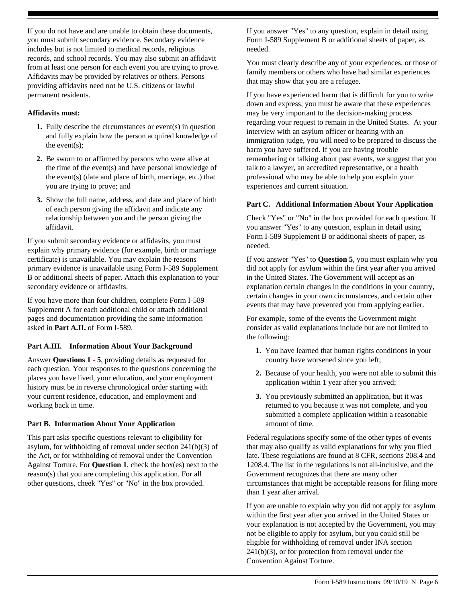If you do not have and are unable to obtain these documents, you must submit secondary evidence. Secondary evidence includes but is not limited to medical records, religious records, and school records. You may also submit an affidavit from at least one person for each event you are trying to prove. Affidavits may be provided by relatives or others. Persons providing affidavits need not be U.S. citizens or lawful permanent residents.

#### **Affidavits must:**

- **1.** Fully describe the circumstances or event(s) in question and fully explain how the person acquired knowledge of the event(s);
- **2.** Be sworn to or affirmed by persons who were alive at the time of the event(s) and have personal knowledge of the event(s) (date and place of birth, marriage, etc.) that you are trying to prove; and
- **3.** Show the full name, address, and date and place of birth of each person giving the affidavit and indicate any relationship between you and the person giving the affidavit.

If you submit secondary evidence or affidavits, you must explain why primary evidence (for example, birth or marriage certificate) is unavailable. You may explain the reasons primary evidence is unavailable using Form I-589 Supplement B or additional sheets of paper. Attach this explanation to your secondary evidence or affidavits.

If you have more than four children, complete Form I-589 Supplement A for each additional child or attach additional pages and documentation providing the same information asked in **Part A.II.** of Form I-589.

## **Part A.III. Information About Your Background**

Answer **Questions 1 - 5**, providing details as requested for each question. Your responses to the questions concerning the places you have lived, your education, and your employment history must be in reverse chronological order starting with your current residence, education, and employment and working back in time.

#### **Part B. Information About Your Application**

This part asks specific questions relevant to eligibility for asylum, for withholding of removal under section 241(b)(3) of the Act, or for withholding of removal under the Convention Against Torture. For **Question 1**, check the box(es) next to the reason(s) that you are completing this application. For all other questions, cheek "Yes" or "No" in the box provided.

If you answer "Yes" to any question, explain in detail using Form I-589 Supplement B or additional sheets of paper, as needed.

You must clearly describe any of your experiences, or those of family members or others who have had similar experiences that may show that you are a refugee.

If you have experienced harm that is difficult for you to write down and express, you must be aware that these experiences may be very important to the decision-making process regarding your request to remain in the United States. At your interview with an asylum officer or hearing with an immigration judge, you will need to be prepared to discuss the harm you have suffered. If you are having trouble remembering or talking about past events, we suggest that you talk to a lawyer, an accredited representative, or a health professional who may be able to help you explain your experiences and current situation.

#### **Part C. Additional Information About Your Application**

Check "Yes" or "No" in the box provided for each question. If you answer "Yes" to any question, explain in detail using Form I-589 Supplement B or additional sheets of paper, as needed.

If you answer "Yes" to **Question 5**, you must explain why you did not apply for asylum within the first year after you arrived in the United States. The Government will accept as an explanation certain changes in the conditions in your country, certain changes in your own circumstances, and certain other events that may have prevented you from applying earlier.

For example, some of the events the Government might consider as valid explanations include but are not limited to the following:

- **1.** You have learned that human rights conditions in your country have worsened since you left;
- **2.** Because of your health, you were not able to submit this application within 1 year after you arrived;
- **3.** You previously submitted an application, but it was returned to you because it was not complete, and you submitted a complete application within a reasonable amount of time.

Federal regulations specify some of the other types of events that may also qualify as valid explanations for why you filed late. These regulations are found at 8 CFR, sections 208.4 and 1208.4. The list in the regulations is not all-inclusive, and the Government recognizes that there are many other circumstances that might be acceptable reasons for filing more than 1 year after arrival.

If you are unable to explain why you did not apply for asylum within the first year after you arrived in the United States or your explanation is not accepted by the Government, you may not be eligible to apply for asylum, but you could still be eligible for withholding of removal under INA section 241(b)(3), or for protection from removal under the Convention Against Torture.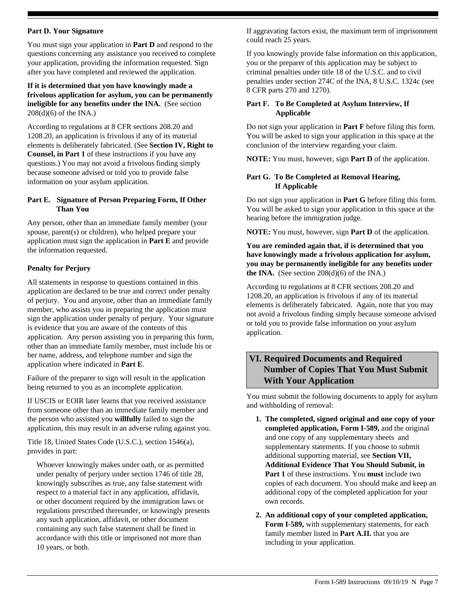#### **Part D. Your Signature**

You must sign your application in **Part D** and respond to the questions concerning any assistance you received to complete your application, providing the information requested. Sign after you have completed and reviewed the application.

**If it is determined that you have knowingly made a frivolous application for asylum, you can be permanently ineligible for any benefits under the INA.** (See section 208(d)(6) of the INA.)

According to regulations at 8 CFR sections 208.20 and 1208.20, an application is frivolous if any of its material elements is deliberately fabricated. (See **Section IV, Right to Counsel, in Part 1** of these instructions if you have any questions.) You may not avoid a frivolous finding simply because someone advised or told you to provide false information on your asylum application.

#### **Part E. Signature of Person Preparing Form, If Other Than You**

Any person, other than an immediate family member (your spouse, parent(s) or children), who helped prepare your application must sign the application in **Part E** and provide the information requested.

## **Penalty for Perjury**

All statements in response to questions contained in this application are declared to be true and correct under penalty of perjury. You and anyone, other than an immediate family member, who assists you in preparing the application must sign the application under penalty of perjury. Your signature is evidence that you are aware of the contents of this application. Any person assisting you in preparing this form, other than an immediate family member, must include his or her name, address, and telephone number and sign the application where indicated in **Part E**.

Failure of the preparer to sign will result in the application being returned to you as an incomplete application.

If USCIS or EOIR later learns that you received assistance from someone other than an immediate family member and the person who assisted you **willfully** failed to sign the application, this may result in an adverse ruling against you.

Title 18, United States Code (U.S.C.), section 1546(a), provides in part:

Whoever knowingly makes under oath, or as permitted under penalty of perjury under section 1746 of title 28, knowingly subscribes as true, any false statement with respect to a material fact in any application, affidavit, or other document required by the immigration laws or regulations prescribed thereunder, or knowingly presents any such application, affidavit, or other document containing any such false statement shall be fined in accordance with this title or imprisoned not more than 10 years, or both.

If aggravating factors exist, the maximum term of imprisonment could reach 25 years.

If you knowingly provide false information on this application, you or the preparer of this application may be subject to criminal penalties under title 18 of the U.S.C. and to civil penalties under section 274C of the INA, 8 U.S.C. 1324c (see 8 CFR parts 270 and 1270).

## **Part F. To Be Completed at Asylum Interview, If Applicable**

Do not sign your application in **Part F** before filing this form. You will be asked to sign your application in this space at the conclusion of the interview regarding your claim.

**NOTE:** You must, however, sign **Part D** of the application.

## **Part G. To Be Completed at Removal Hearing, If Applicable**

Do not sign your application in **Part G** before filing this form. You will be asked to sign your application in this space at the hearing before the immigration judge.

**NOTE:** You must, however, sign **Part D** of the application.

## **You are reminded again that, if is determined that you have knowingly made a frivolous application for asylum, you may be permanently ineligible for any benefits under the INA.** (See section  $208(d)(6)$  of the INA.)

According to regulations at 8 CFR sections 208.20 and 1208.20, an application is frivolous if any of its material elements is deliberately fabricated. Again, note that you may not avoid a frivolous finding simply because someone advised or told you to provide false information on your asylum application.

# **VI. Required Documents and Required Number of Copies That You Must Submit With Your Application**

You must submit the following documents to apply for asylum and withholding of removal:

- **1. The completed, signed original and one copy of your completed application, Form I-589,** and the original and one copy of any supplementary sheets and supplementary statements. If you choose to submit additional supporting material, see **Section VII, Additional Evidence That You Should Submit, in Part 1** of these instructions. You **must** include two copies of each document. You should make and keep an additional copy of the completed application for your own records.
- **2. An additional copy of your completed application, Form I-589,** with supplementary statements, for each family member listed in **Part A.II.** that you are including in your application.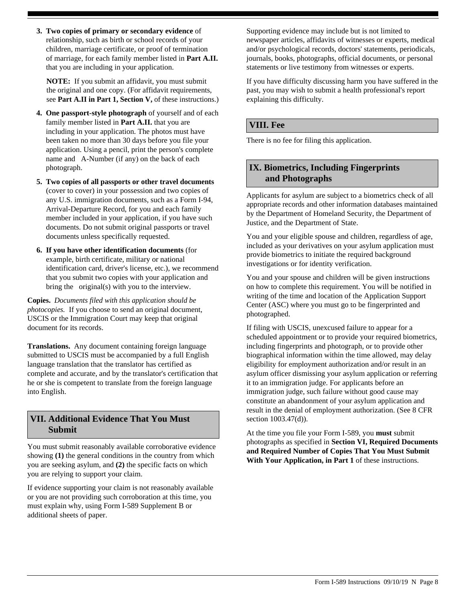**3. Two copies of primary or secondary evidence** of relationship, such as birth or school records of your children, marriage certificate, or proof of termination of marriage, for each family member listed in **Part A.II.**  that you are including in your application.

**NOTE:** If you submit an affidavit, you must submit the original and one copy. (For affidavit requirements, see **Part A.II in Part 1, Section V,** of these instructions.)

- **4. One passport-style photograph** of yourself and of each family member listed in **Part A.II.** that you are including in your application. The photos must have been taken no more than 30 days before you file your application. Using a pencil, print the person's complete name and A-Number (if any) on the back of each photograph.
- **5. Two copies of all passports or other travel documents** (cover to cover) in your possession and two copies of any U.S. immigration documents, such as a Form I-94, Arrival-Departure Record, for you and each family member included in your application, if you have such documents. Do not submit original passports or travel documents unless specifically requested.
- **6. If you have other identification documents** (for example, birth certificate, military or national identification card, driver's license, etc.), we recommend that you submit two copies with your application and bring the original(s) with you to the interview.

**Copies.** *Documents filed with this application should be photocopies.* If you choose to send an original document, USCIS or the Immigration Court may keep that original document for its records.

**Translations.** Any document containing foreign language submitted to USCIS must be accompanied by a full English language translation that the translator has certified as complete and accurate, and by the translator's certification that he or she is competent to translate from the foreign language into English.

# **VII. Additional Evidence That You Must Submit**

You must submit reasonably available corroborative evidence showing **(1)** the general conditions in the country from which you are seeking asylum, and **(2)** the specific facts on which you are relying to support your claim.

If evidence supporting your claim is not reasonably available or you are not providing such corroboration at this time, you must explain why, using Form I-589 Supplement B or additional sheets of paper.

Supporting evidence may include but is not limited to newspaper articles, affidavits of witnesses or experts, medical and/or psychological records, doctors' statements, periodicals, journals, books, photographs, official documents, or personal statements or live testimony from witnesses or experts.

If you have difficulty discussing harm you have suffered in the past, you may wish to submit a health professional's report explaining this difficulty.

## **VIII. Fee**

There is no fee for filing this application.

# **IX. Biometrics, Including Fingerprints and Photographs**

Applicants for asylum are subject to a biometrics check of all appropriate records and other information databases maintained by the Department of Homeland Security, the Department of Justice, and the Department of State.

You and your eligible spouse and children, regardless of age, included as your derivatives on your asylum application must provide biometrics to initiate the required background investigations or for identity verification.

You and your spouse and children will be given instructions on how to complete this requirement. You will be notified in writing of the time and location of the Application Support Center (ASC) where you must go to be fingerprinted and photographed.

If filing with USCIS, unexcused failure to appear for a scheduled appointment or to provide your required biometrics, including fingerprints and photograph, or to provide other biographical information within the time allowed, may delay eligibility for employment authorization and/or result in an asylum officer dismissing your asylum application or referring it to an immigration judge. For applicants before an immigration judge, such failure without good cause may constitute an abandonment of your asylum application and result in the denial of employment authorization. (See 8 CFR section 1003.47(d)).

At the time you file your Form I-589, you **must** submit photographs as specified in **Section VI, Required Documents and Required Number of Copies That You Must Submit With Your Application, in Part 1** of these instructions.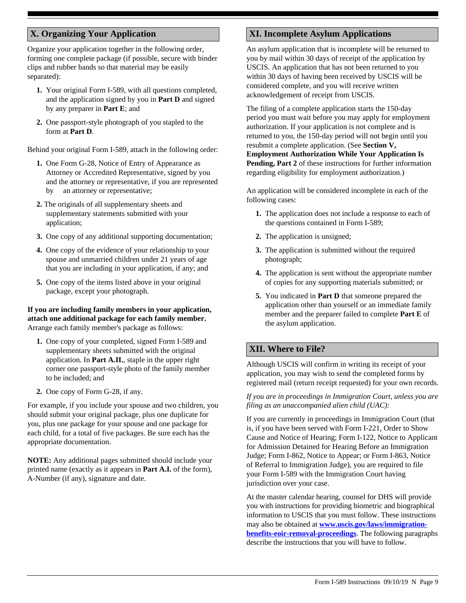# **X. Organizing Your Application**

Organize your application together in the following order, forming one complete package (if possible, secure with binder clips and rubber bands so that material may be easily separated):

- **1.** Your original Form I-589, with all questions completed, and the application signed by you in **Part D** and signed by any preparer in **Part E**; and
- **2.** One passport-style photograph of you stapled to the form at **Part D**.

Behind your original Form I-589, attach in the following order:

- **1.** One Form G-28, Notice of Entry of Appearance as Attorney or Accredited Representative, signed by you and the attorney or representative, if you are represented by an attorney or representative;
- **2.** The originals of all supplementary sheets and supplementary statements submitted with your application;
- **3.** One copy of any additional supporting documentation;
- **4.** One copy of the evidence of your relationship to your spouse and unmarried children under 21 years of age that you are including in your application, if any; and
- **5.** One copy of the items listed above in your original package, except your photograph.

#### **If you are including family members in your application, attach one additional package for each family member.**  Arrange each family member's package as follows:

- **1.** One copy of your completed, signed Form I-589 and supplementary sheets submitted with the original application. In **Part A.II.**, staple in the upper right corner one passport-style photo of the family member to be included; and
- **2.** One copy of Form G-28, if any.

For example, if you include your spouse and two children, you should submit your original package, plus one duplicate for you, plus one package for your spouse and one package for each child, for a total of five packages. Be sure each has the appropriate documentation.

**NOTE:** Any additional pages submitted should include your printed name (exactly as it appears in **Part A.I.** of the form), A-Number (if any), signature and date.

# **XI. Incomplete Asylum Applications**

An asylum application that is incomplete will be returned to you by mail within 30 days of receipt of the application by USCIS. An application that has not been returned to you within 30 days of having been received by USCIS will be considered complete, and you will receive written acknowledgement of receipt from USCIS.

The filing of a complete application starts the 150-day period you must wait before you may apply for employment authorization. If your application is not complete and is returned to you, the 150-day period will not begin until you resubmit a complete application. (See **Section V, Employment Authorization While Your Application Is Pending, Part 2** of these instructions for further information regarding eligibility for employment authorization.)

An application will be considered incomplete in each of the following cases:

- **1.** The application does not include a response to each of the questions contained in Form I-589;
- **2.** The application is unsigned;
- **3.** The application is submitted without the required photograph;
- **4.** The application is sent without the appropriate number of copies for any supporting materials submitted; or
- **5.** You indicated in **Part D** that someone prepared the application other than yourself or an immediate family member and the preparer failed to complete **Part E** of the asylum application.

# **XII. Where to File?**

Although USCIS will confirm in writing its receipt of your application, you may wish to send the completed forms by registered mail (return receipt requested) for your own records.

#### *If you are in proceedings in Immigration Court, unless you are filing as an unaccompanied alien child (UAC):*

If you are currently in proceedings in Immigration Court (that is, if you have been served with Form I-221, Order to Show Cause and Notice of Hearing; Form I-122, Notice to Applicant for Admission Detained for Hearing Before an Immigration Judge; Form I-862, Notice to Appear; or Form I-863, Notice of Referral to Immigration Judge), you are required to file your Form I-589 with the Immigration Court having jurisdiction over your case.

At the master calendar hearing, counsel for DHS will provide you with instructions for providing biometric and biographical information to USCIS that you must follow. These instructions may also be obtained at **[www.uscis.gov/laws/immigration](www.uscis.gov/laws/immigration-benefits-eoir-removal-proceedings)[benefits-eoir-removal-proceedings](www.uscis.gov/laws/immigration-benefits-eoir-removal-proceedings)**. The following paragraphs describe the instructions that you will have to follow.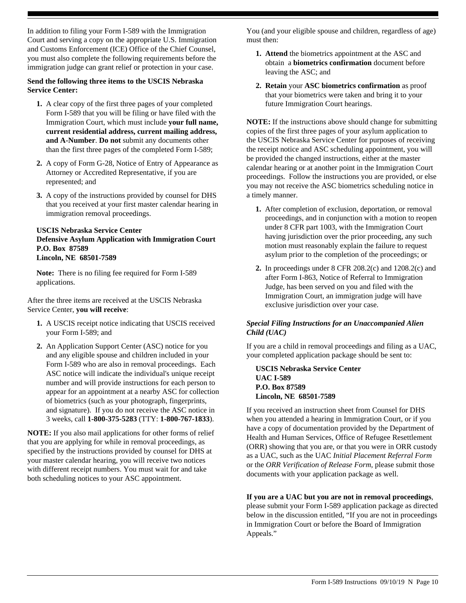In addition to filing your Form I-589 with the Immigration Court and serving a copy on the appropriate U.S. Immigration and Customs Enforcement (ICE) Office of the Chief Counsel, you must also complete the following requirements before the immigration judge can grant relief or protection in your case.

#### **Send the following three items to the USCIS Nebraska Service Center:**

- **1.** A clear copy of the first three pages of your completed Form I-589 that you will be filing or have filed with the Immigration Court, which must include **your full name, current residential address, current mailing address, and A-Number**. **Do not** submit any documents other than the first three pages of the completed Form I-589;
- **2.** A copy of Form G-28, Notice of Entry of Appearance as Attorney or Accredited Representative, if you are represented; and
- **3.** A copy of the instructions provided by counsel for DHS that you received at your first master calendar hearing in immigration removal proceedings.

#### **USCIS Nebraska Service Center Defensive Asylum Application with Immigration Court P.O. Box 87589 Lincoln, NE 68501-7589**

**Note:** There is no filing fee required for Form I-589 applications.

After the three items are received at the USCIS Nebraska Service Center, **you will receive**:

- **1.** A USCIS receipt notice indicating that USCIS received your Form I-589; and
- **2.** An Application Support Center (ASC) notice for you and any eligible spouse and children included in your Form I-589 who are also in removal proceedings. Each ASC notice will indicate the individual's unique receipt number and will provide instructions for each person to appear for an appointment at a nearby ASC for collection of biometrics (such as your photograph, fingerprints, and signature). If you do not receive the ASC notice in 3 weeks, call **1-800-375-5283** (TTY: **1-800-767-1833**).

**NOTE:** If you also mail applications for other forms of relief that you are applying for while in removal proceedings, as specified by the instructions provided by counsel for DHS at your master calendar hearing, you will receive two notices with different receipt numbers. You must wait for and take both scheduling notices to your ASC appointment.

You (and your eligible spouse and children, regardless of age) must then:

- **1. Attend** the biometrics appointment at the ASC and obtain a **biometrics confirmation** document before leaving the ASC; and
- **2. Retain** your **ASC biometrics confirmation** as proof that your biometrics were taken and bring it to your future Immigration Court hearings.

**NOTE:** If the instructions above should change for submitting copies of the first three pages of your asylum application to the USCIS Nebraska Service Center for purposes of receiving the receipt notice and ASC scheduling appointment, you will be provided the changed instructions, either at the master calendar hearing or at another point in the Immigration Court proceedings. Follow the instructions you are provided, or else you may not receive the ASC biometrics scheduling notice in a timely manner.

- **1.** After completion of exclusion, deportation, or removal proceedings, and in conjunction with a motion to reopen under 8 CFR part 1003, with the Immigration Court having jurisdiction over the prior proceeding, any such motion must reasonably explain the failure to request asylum prior to the completion of the proceedings; or
- **2.** In proceedings under 8 CFR 208.2(c) and 1208.2(c) and after Form I-863, Notice of Referral to Immigration Judge, has been served on you and filed with the Immigration Court, an immigration judge will have exclusive jurisdiction over your case.

## *Special Filing Instructions for an Unaccompanied Alien Child (UAC)*

If you are a child in removal proceedings and filing as a UAC, your completed application package should be sent to:

**USCIS Nebraska Service Center UAC I-589 P.O. Box 87589 Lincoln, NE 68501-7589**

If you received an instruction sheet from Counsel for DHS when you attended a hearing in Immigration Court, or if you have a copy of documentation provided by the Department of Health and Human Services, Office of Refugee Resettlement (ORR) showing that you are, or that you were in ORR custody as a UAC, such as the UAC *Initial Placement Referral Form* or the *ORR Verification of Release Form*, please submit those documents with your application package as well.

**If you are a UAC but you are not in removal proceedings**,

please submit your Form I-589 application package as directed below in the discussion entitled, "If you are not in proceedings in Immigration Court or before the Board of Immigration Appeals."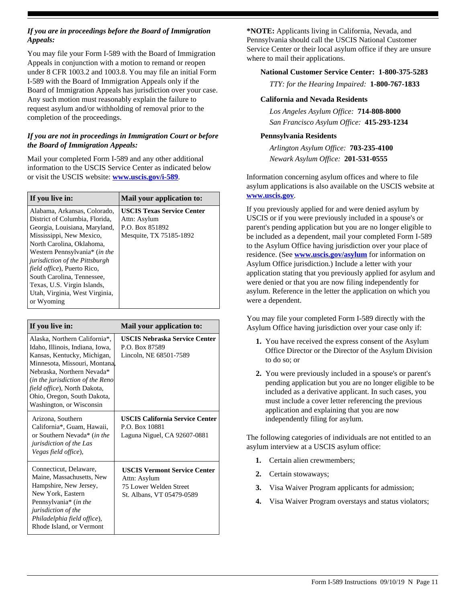#### *If you are in proceedings before the Board of Immigration Appeals:*

You may file your Form I-589 with the Board of Immigration Appeals in conjunction with a motion to remand or reopen under 8 CFR 1003.2 and 1003.8. You may file an initial Form I-589 with the Board of Immigration Appeals only if the Board of Immigration Appeals has jurisdiction over your case. Any such motion must reasonably explain the failure to request asylum and/or withholding of removal prior to the completion of the proceedings.

## *If you are not in proceedings in Immigration Court or before the Board of Immigration Appeals:*

Mail your completed Form I-589 and any other additional information to the USCIS Service Center as indicated below or visit the USCIS website: **<www.uscis.gov/i-589>**.

| If you live in:                                                                                                                                                                                                                                                                                    | Mail your application to:                                                                       |
|----------------------------------------------------------------------------------------------------------------------------------------------------------------------------------------------------------------------------------------------------------------------------------------------------|-------------------------------------------------------------------------------------------------|
| Alabama, Arkansas, Colorado,<br>District of Columbia, Florida.<br>Georgia, Louisiana, Maryland,<br>Mississippi, New Mexico,<br>North Carolina, Oklahoma,<br>Western Pennsylvania* (in the<br>  jurisdiction of the Pittsburgh<br><i>field office</i> ), Puerto Rico,<br>South Carolina, Tennessee, | <b>USCIS Texas Service Center</b><br>Attn: Asylum<br>P.O. Box 851892<br>Mesquite, TX 75185-1892 |
| Texas, U.S. Virgin Islands,<br>Utah, Virginia, West Virginia,<br>or Wyoming                                                                                                                                                                                                                        |                                                                                                 |

| If you live in:                                                                                                                                                                                                                                                                                       | Mail your application to:                                                                                  |
|-------------------------------------------------------------------------------------------------------------------------------------------------------------------------------------------------------------------------------------------------------------------------------------------------------|------------------------------------------------------------------------------------------------------------|
| Alaska, Northern California*,<br>Idaho, Illinois, Indiana, Iowa,<br>Kansas, Kentucky, Michigan,<br>Minnesota, Missouri, Montana,<br>Nebraska, Northern Nevada*<br><i>(in the jurisdiction of the Reno)</i><br>field office), North Dakota,<br>Ohio, Oregon, South Dakota,<br>Washington, or Wisconsin | <b>USCIS Nebraska Service Center</b><br>P.O. Box 87589<br>Lincoln, NE 68501-7589                           |
| Arizona, Southern<br>California*, Guam, Hawaii,<br>or Southern Nevada* (in the<br><i>jurisdiction of the Las</i><br>Vegas field office),                                                                                                                                                              | <b>USCIS California Service Center</b><br>P.O. Box 10881<br>Laguna Niguel, CA 92607-0881                   |
| Connecticut, Delaware,<br>Maine, Massachusetts, New<br>Hampshire, New Jersey,<br>New York, Eastern<br>Pennsylvania <sup>*</sup> (in the<br><i>jurisdiction of the</i><br>Philadelphia field office),<br>Rhode Island, or Vermont                                                                      | <b>USCIS Vermont Service Center</b><br>Attn: Asylum<br>75 Lower Welden Street<br>St. Albans, VT 05479-0589 |

**\*NOTE:** Applicants living in California, Nevada, and Pennsylvania should call the USCIS National Customer Service Center or their local asylum office if they are unsure where to mail their applications.

# **National Customer Service Center: 1-800-375-5283**

*TTY: for the Hearing Impaired:* **1-800-767-1833**

## **California and Nevada Residents**

*Los Angeles Asylum Office:* **714-808-8000** *San Francisco Asylum Office:* **415-293-1234**

# **Pennsylvania Residents**

*Newark Asylum Office:* **201-531-0555** *Arlington Asylum Office:* **703-235-4100**

Information concerning asylum offices and where to file asylum applications is also available on the USCIS website at **<www.uscis.gov>**.

If you previously applied for and were denied asylum by USCIS or if you were previously included in a spouse's or parent's pending application but you are no longer eligible to be included as a dependent, mail your completed Form I-589 to the Asylum Office having jurisdiction over your place of residence. (See **<www.uscis.gov/asylum>** for information on Asylum Office jurisdiction.) Include a letter with your application stating that you previously applied for asylum and were denied or that you are now filing independently for asylum. Reference in the letter the application on which you were a dependent.

You may file your completed Form I-589 directly with the Asylum Office having jurisdiction over your case only if:

- **1.** You have received the express consent of the Asylum Office Director or the Director of the Asylum Division to do so; or
- **2.** You were previously included in a spouse's or parent's pending application but you are no longer eligible to be included as a derivative applicant. In such cases, you must include a cover letter referencing the previous application and explaining that you are now independently filing for asylum.

The following categories of individuals are not entitled to an asylum interview at a USCIS asylum office:

- **1.** Certain alien crewmembers;
- **2.** Certain stowaways;
- **3.** Visa Waiver Program applicants for admission;
- **4.** Visa Waiver Program overstays and status violators;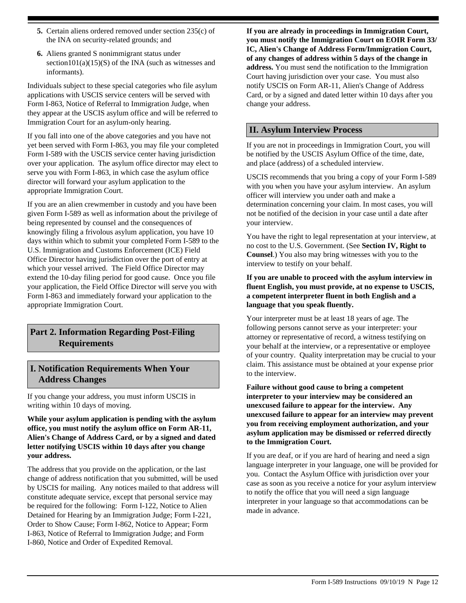- **5.** Certain aliens ordered removed under section 235(c) of the INA on security-related grounds; and
- **6.** Aliens granted S nonimmigrant status under section101(a)(15)(S) of the INA (such as witnesses and informants).

Individuals subject to these special categories who file asylum applications with USCIS service centers will be served with Form I-863, Notice of Referral to Immigration Judge, when they appear at the USCIS asylum office and will be referred to Immigration Court for an asylum-only hearing.

If you fall into one of the above categories and you have not yet been served with Form I-863, you may file your completed Form I-589 with the USCIS service center having jurisdiction over your application. The asylum office director may elect to serve you with Form I-863, in which case the asylum office director will forward your asylum application to the appropriate Immigration Court.

If you are an alien crewmember in custody and you have been given Form I-589 as well as information about the privilege of being represented by counsel and the consequences of knowingly filing a frivolous asylum application, you have 10 days within which to submit your completed Form I-589 to the U.S. Immigration and Customs Enforcement (ICE) Field Office Director having jurisdiction over the port of entry at which your vessel arrived. The Field Office Director may extend the 10-day filing period for good cause. Once you file your application, the Field Office Director will serve you with Form I-863 and immediately forward your application to the appropriate Immigration Court.

# **Part 2. Information Regarding Post-Filing Requirements**

# **I. Notification Requirements When Your Address Changes**

If you change your address, you must inform USCIS in writing within 10 days of moving.

**While your asylum application is pending with the asylum office, you must notify the asylum office on Form AR-11, Alien's Change of Address Card, or by a signed and dated letter notifying USCIS within 10 days after you change your address.**

The address that you provide on the application, or the last change of address notification that you submitted, will be used by USCIS for mailing. Any notices mailed to that address will constitute adequate service, except that personal service may be required for the following: Form I-122, Notice to Alien Detained for Hearing by an Immigration Judge; Form I-221, Order to Show Cause; Form I-862, Notice to Appear; Form I-863, Notice of Referral to Immigration Judge; and Form I-860, Notice and Order of Expedited Removal.

**If you are already in proceedings in Immigration Court, you must notify the Immigration Court on EOIR Form 33/ IC, Alien's Change of Address Form/Immigration Court, of any changes of address within 5 days of the change in address.** You must send the notification to the Immigration Court having jurisdiction over your case. You must also notify USCIS on Form AR-11, Alien's Change of Address Card, or by a signed and dated letter within 10 days after you change your address.

# **II. Asylum Interview Process**

If you are not in proceedings in Immigration Court, you will be notified by the USCIS Asylum Office of the time, date, and place (address) of a scheduled interview.

USCIS recommends that you bring a copy of your Form I-589 with you when you have your asylum interview. An asylum officer will interview you under oath and make a determination concerning your claim. In most cases, you will not be notified of the decision in your case until a date after your interview.

You have the right to legal representation at your interview, at no cost to the U.S. Government. (See **Section IV, Right to Counsel**.) You also may bring witnesses with you to the interview to testify on your behalf.

#### **If you are unable to proceed with the asylum interview in fluent English, you must provide, at no expense to USCIS, a competent interpreter fluent in both English and a language that you speak fluently.**

Your interpreter must be at least 18 years of age. The following persons cannot serve as your interpreter: your attorney or representative of record, a witness testifying on your behalf at the interview, or a representative or employee of your country. Quality interpretation may be crucial to your claim. This assistance must be obtained at your expense prior to the interview.

**Failure without good cause to bring a competent interpreter to your interview may be considered an unexcused failure to appear for the interview. Any unexcused failure to appear for an interview may prevent you from receiving employment authorization, and your asylum application may be dismissed or referred directly to the Immigration Court.**

If you are deaf, or if you are hard of hearing and need a sign language interpreter in your language, one will be provided for you. Contact the Asylum Office with jurisdiction over your case as soon as you receive a notice for your asylum interview to notify the office that you will need a sign language interpreter in your language so that accommodations can be made in advance.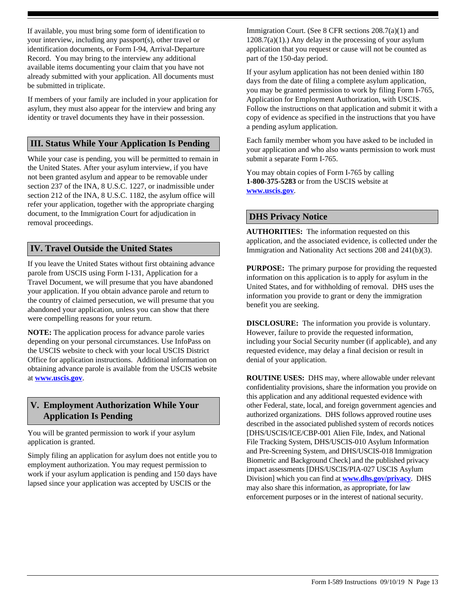If available, you must bring some form of identification to your interview, including any passport(s), other travel or identification documents, or Form I-94, Arrival-Departure Record. You may bring to the interview any additional available items documenting your claim that you have not already submitted with your application. All documents must be submitted in triplicate.

If members of your family are included in your application for asylum, they must also appear for the interview and bring any identity or travel documents they have in their possession.

# **III. Status While Your Application Is Pending**

While your case is pending, you will be permitted to remain in the United States. After your asylum interview, if you have not been granted asylum and appear to be removable under section 237 of the INA, 8 U.S.C. 1227, or inadmissible under section 212 of the INA, 8 U.S.C. 1182, the asylum office will refer your application, together with the appropriate charging document, to the Immigration Court for adjudication in removal proceedings.

# **IV. Travel Outside the United States**

If you leave the United States without first obtaining advance parole from USCIS using Form I-131, Application for a Travel Document, we will presume that you have abandoned your application. If you obtain advance parole and return to the country of claimed persecution, we will presume that you abandoned your application, unless you can show that there were compelling reasons for your return.

**NOTE:** The application process for advance parole varies depending on your personal circumstances. Use InfoPass on the USCIS website to check with your local USCIS District Office for application instructions. Additional information on obtaining advance parole is available from the USCIS website at **<www.uscis.gov>**.

# **V. Employment Authorization While Your Application Is Pending**

You will be granted permission to work if your asylum application is granted.

Simply filing an application for asylum does not entitle you to employment authorization. You may request permission to work if your asylum application is pending and 150 days have lapsed since your application was accepted by USCIS or the

Immigration Court. (See 8 CFR sections 208.7(a)(1) and  $1208.7(a)(1)$ .) Any delay in the processing of your asylum application that you request or cause will not be counted as part of the 150-day period.

If your asylum application has not been denied within 180 days from the date of filing a complete asylum application, you may be granted permission to work by filing Form I-765, Application for Employment Authorization, with USCIS. Follow the instructions on that application and submit it with a copy of evidence as specified in the instructions that you have a pending asylum application.

Each family member whom you have asked to be included in your application and who also wants permission to work must submit a separate Form I-765.

You may obtain copies of Form I-765 by calling **1-800-375-5283** or from the USCIS website at **<www.uscis.gov>**.

# **DHS Privacy Notice**

**AUTHORITIES:** The information requested on this application, and the associated evidence, is collected under the Immigration and Nationality Act sections 208 and 241(b)(3).

**PURPOSE:** The primary purpose for providing the requested information on this application is to apply for asylum in the United States, and for withholding of removal. DHS uses the information you provide to grant or deny the immigration benefit you are seeking.

**DISCLOSURE:** The information you provide is voluntary. However, failure to provide the requested information, including your Social Security number (if applicable), and any requested evidence, may delay a final decision or result in denial of your application.

**ROUTINE USES:** DHS may, where allowable under relevant confidentiality provisions, share the information you provide on this application and any additional requested evidence with other Federal, state, local, and foreign government agencies and authorized organizations. DHS follows approved routine uses described in the associated published system of records notices [DHS/USCIS/ICE/CBP-001 Alien File, Index, and National File Tracking System, DHS/USCIS-010 Asylum Information and Pre-Screening System, and DHS/USCIS-018 Immigration Biometric and Background Check] and the published privacy impact assessments [DHS/USCIS/PIA-027 USCIS Asylum Division] which you can find at **[www.dhs.gov/privacy](http://www.dhs.gov/privacy)**. DHS may also share this information, as appropriate, for law enforcement purposes or in the interest of national security.